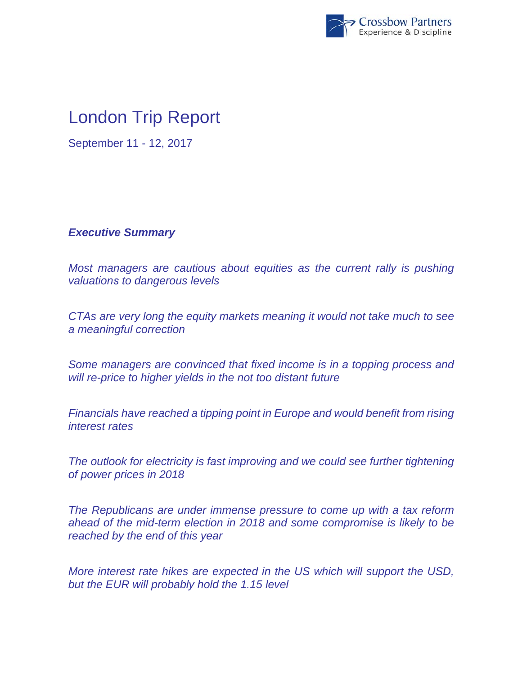

## London Trip Report

September 11 - 12, 2017

## *Executive Summary*

*Most managers are cautious about equities as the current rally is pushing valuations to dangerous levels* 

*CTAs are very long the equity markets meaning it would not take much to see a meaningful correction* 

*Some managers are convinced that fixed income is in a topping process and will re-price to higher yields in the not too distant future*

*Financials have reached a tipping point in Europe and would benefit from rising interest rates* 

*The outlook for electricity is fast improving and we could see further tightening of power prices in 2018* 

*The Republicans are under immense pressure to come up with a tax reform ahead of the mid-term election in 2018 and some compromise is likely to be reached by the end of this year* 

*More interest rate hikes are expected in the US which will support the USD, but the EUR will probably hold the 1.15 level*